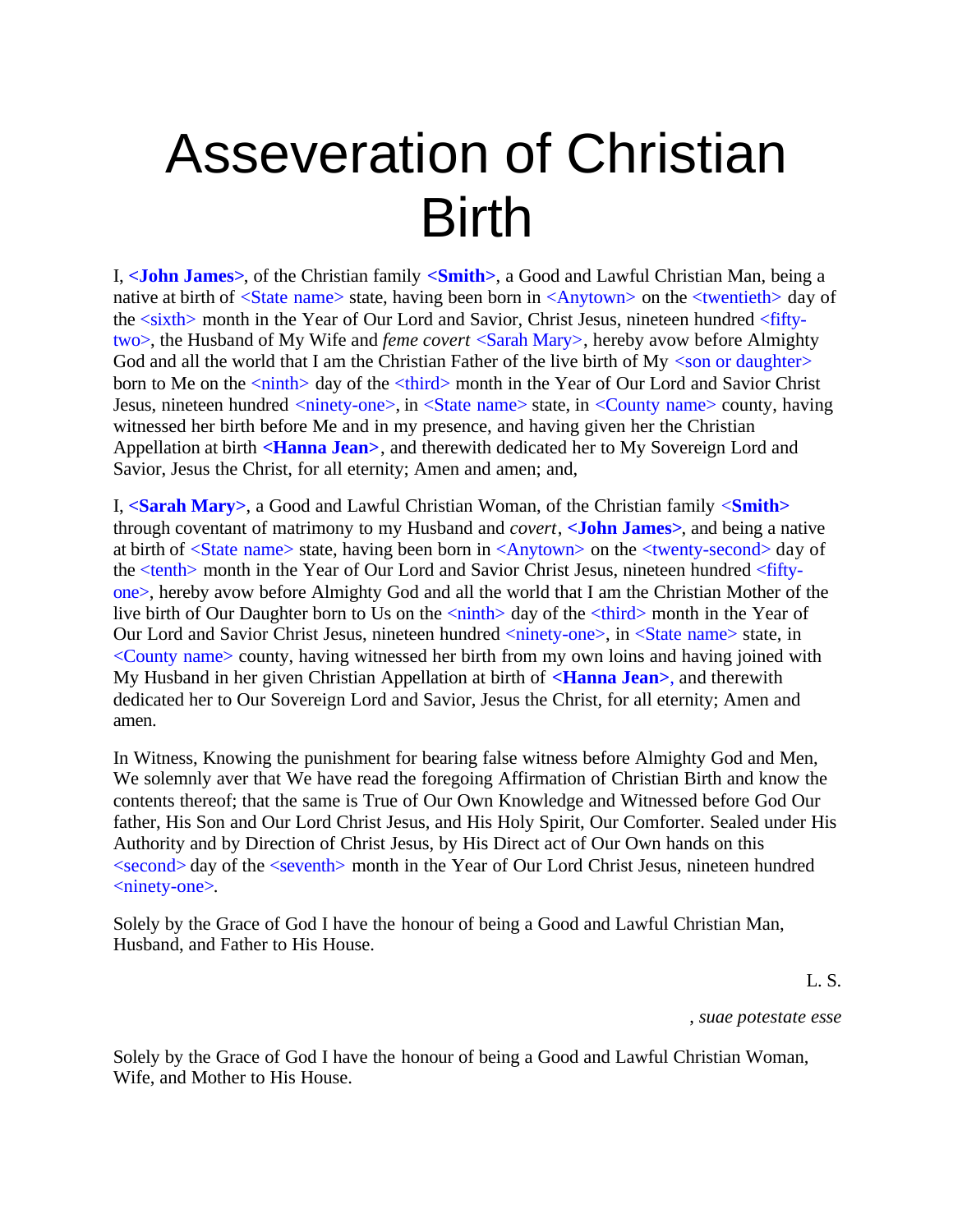## Asseveration of Christian Birth

I, **<John James>**, of the Christian family **<Smith>**, a Good and Lawful Christian Man, being a native at birth of <State name> state, having been born in <Anytown> on the <twentieth> day of the <sixth> month in the Year of Our Lord and Savior, Christ Jesus, nineteen hundred <fiftytwo>, the Husband of My Wife and *feme covert* <Sarah Mary>, hereby avow before Almighty God and all the world that I am the Christian Father of the live birth of  $My <$ son or daughter> born to Me on the  $\langle \text{ninth} \rangle$  day of the  $\langle \text{third} \rangle$  month in the Year of Our Lord and Savior Christ Jesus, nineteen hundred <ninety-one>, in <state name> state, in <county name> county, having witnessed her birth before Me and in my presence, and having given her the Christian Appellation at birth **<Hanna Jean>**, and therewith dedicated her to My Sovereign Lord and Savior, Jesus the Christ, for all eternity; Amen and amen; and,

I, **<Sarah Mary>**, a Good and Lawful Christian Woman, of the Christian family <**Smith>** through coventant of matrimony to my Husband and *covert*, **<John James>**, and being a native at birth of <State name> state, having been born in <Anytown> on the <twenty-second> day of the <tenth> month in the Year of Our Lord and Savior Christ Jesus, nineteen hundred <fiftyone>, hereby avow before Almighty God and all the world that I am the Christian Mother of the live birth of Our Daughter born to Us on the  $\langle \text{nint} \rangle$  day of the  $\langle \text{third} \rangle$  month in the Year of Our Lord and Savior Christ Jesus, nineteen hundred <ninety-one>, in <state name> state, in <County name> county, having witnessed her birth from my own loins and having joined with My Husband in her given Christian Appellation at birth of **<Hanna Jean>**, and therewith dedicated her to Our Sovereign Lord and Savior, Jesus the Christ, for all eternity; Amen and amen.

In Witness, Knowing the punishment for bearing false witness before Almighty God and Men, We solemnly aver that We have read the foregoing Affirmation of Christian Birth and know the contents thereof; that the same is True of Our Own Knowledge and Witnessed before God Our father, His Son and Our Lord Christ Jesus, and His Holy Spirit, Our Comforter. Sealed under His Authority and by Direction of Christ Jesus, by His Direct act of Our Own hands on this <second> day of the <seventh> month in the Year of Our Lord Christ Jesus, nineteen hundred <ninety-one>.

Solely by the Grace of God I have the honour of being a Good and Lawful Christian Man, Husband, and Father to His House.

L. S.

, *suae potestate esse*

Solely by the Grace of God I have the honour of being a Good and Lawful Christian Woman, Wife, and Mother to His House.